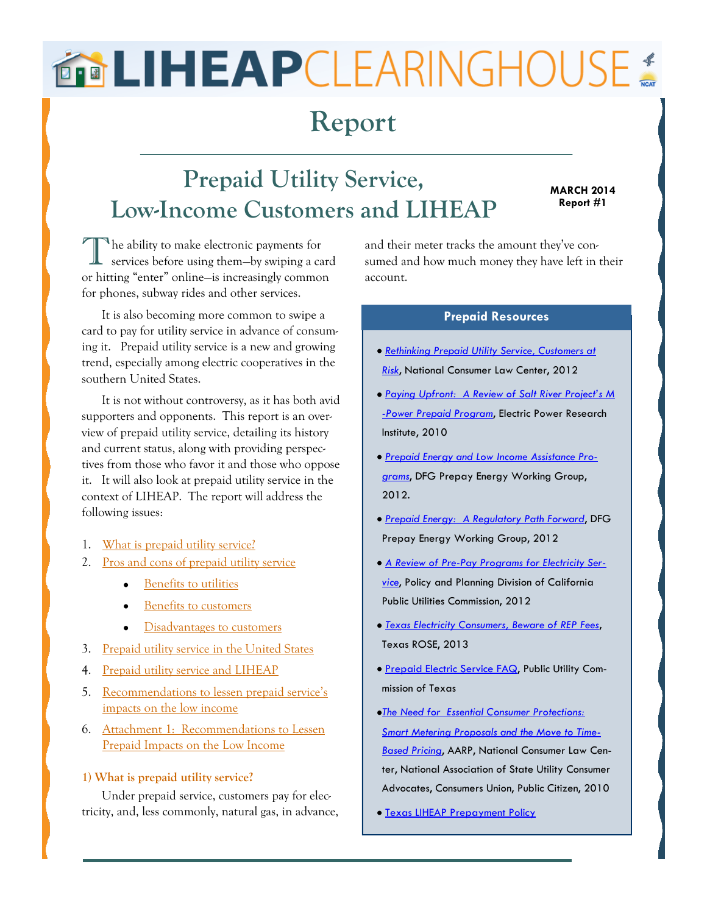# <span id="page-0-0"></span>**BRLIHEAPCLEARINGHOUSE**

### **Report**

## **Prepaid Utility Service, Low-Income Customers and LIHEAP**

#### **MARCH 2014 Report #1**

The ability to make electronic payments for<br>services before using them—by swiping a card he ability to make electronic payments for or hitting "enter" online—is increasingly common for phones, subway rides and other services.

It is also becoming more common to swipe a card to pay for utility service in advance of consuming it. Prepaid utility service is a new and growing trend, especially among electric cooperatives in the southern United States.

It is not without controversy, as it has both avid supporters and opponents. This report is an overview of prepaid utility service, detailing its history and current status, along with providing perspectives from those who favor it and those who oppose it. It will also look at prepaid utility service in the context of LIHEAP. The report will address the following issues:

- 1. [What is prepaid utility service?](#page-0-0)
- 2. [Pros and cons of prepaid utility service](#page-2-0)
	- **[Benefits to utilities](#page-2-0)**
	- [Benefits to customers](#page-2-0)
	- [Disadvantages to customers](#page-3-0)
- 3. [Prepaid utility service in the United States](#page-5-0)
- 4. [Prepaid utility service and LIHEAP](#page-7-0)
- 5. [Recommendations to lessen prepaid service's](#page-8-0)  [impacts on the low income](#page-8-0)
- 6. [Attachment 1: Recommendations to Lessen](#page-10-0)  [Prepaid Impacts on the Low Income](#page-10-0)

#### **1) What is prepaid utility service?**

Under prepaid service, customers pay for electricity, and, less commonly, natural gas, in advance, and their meter tracks the amount they've consumed and how much money they have left in their account.

#### **Prepaid Resources**

- *[Rethinking Prepaid Utility Service, Customers at](http://www.nclc.org/images/pdf/energy_utility_telecom/consumer_protection_and_regulatory_issues/report_prepaid_utility.pdf)  [Risk](http://www.nclc.org/images/pdf/energy_utility_telecom/consumer_protection_and_regulatory_issues/report_prepaid_utility.pdf)*, National Consumer Law Center, 2012
- *[Paying Upfront: A Review of Salt River Project's M](http://www.srpnet.com/environment/earthwise/pdfx/spp/EPRI_MPower.pdf) [-Power Prepaid Program](http://www.srpnet.com/environment/earthwise/pdfx/spp/EPRI_MPower.pdf)*, Electric Power Research Institute, 2010
- *[Prepaid Energy and Low Income Assistance Pro](http://www.smartgridnews.com/artman/uploads/1/DEFG_Prepaid_Energy_Low_Income_Assistance_White_Paper_Sep2012.pdf)[grams](http://www.smartgridnews.com/artman/uploads/1/DEFG_Prepaid_Energy_Low_Income_Assistance_White_Paper_Sep2012.pdf)*, DFG Prepay Energy Working Group, 2012.
- *[Prepaid Energy: A Regulatory Path Forward](http://www.smartgridnews.com/artman/publish/Business_Policy_Regulation/Prepaid-energy-a-regulatory-path-forward-5145.html)*, DFG Prepay Energy Working Group, 2012
- *[A Review of Pre-Pay Programs for Electricity Ser](http://www.cpuc.ca.gov/NR/rdonlyres/152ED1D4-DD85-4D6F-984B-B84847933A18/0/Prepaypolicypaper0712.pdf)[vice](http://www.cpuc.ca.gov/NR/rdonlyres/152ED1D4-DD85-4D6F-984B-B84847933A18/0/Prepaypolicypaper0712.pdf)*, Policy and Planning Division of California Public Utilities Commission, 2012
- *[Texas Electricity Consumers, Beware of REP Fees](http://texasrose.org/wp-content/uploads/2013/08/Fees-Summary-2013-Report-by-Texas-ROSE.pdf)*, Texas ROSE, 2013
- **[Prepaid Electric Service FAQ,](puc.texas.gov/consumer/facts/faq/Prepaid.aspx) Public Utility Com**mission of Texas
- *[The Need for Essential Consumer Protections:](http://energy.gov/sites/prod/files/oeprod/DocumentsandMedia/NASUCA_Smart_Meter_White_Paper.pdf)  [Smart Metering Proposals and the Move to Time-](http://energy.gov/sites/prod/files/oeprod/DocumentsandMedia/NASUCA_Smart_Meter_White_Paper.pdf)[Based Pricing](http://energy.gov/sites/prod/files/oeprod/DocumentsandMedia/NASUCA_Smart_Meter_White_Paper.pdf)*, AARP, National Consumer Law Center, National Association of State Utility Consumer Advocates, Consumers Union, Public Citizen, 2010
- **[Texas LIHEAP Prepayment Policy](http://liheap.ncat.org/pubs/LCIssueBriefs/prepaid/txpolicy.pdf)**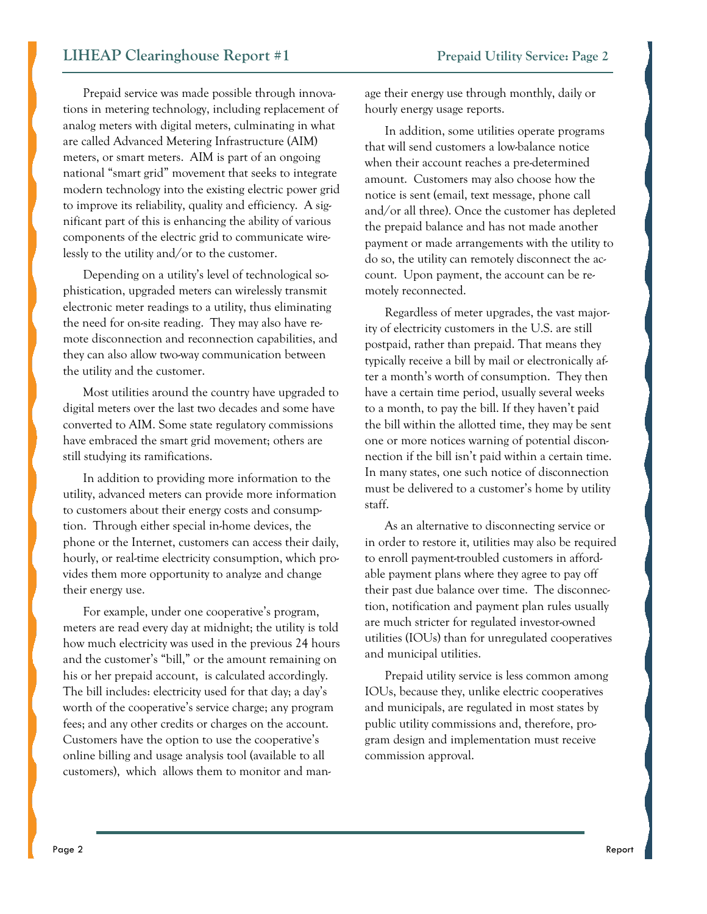Prepaid service was made possible through innovations in metering technology, including replacement of analog meters with digital meters, culminating in what are called Advanced Metering Infrastructure (AIM) meters, or smart meters. AIM is part of an ongoing national "smart grid" movement that seeks to integrate modern technology into the existing electric power grid to improve its reliability, quality and efficiency. A significant part of this is enhancing the ability of various components of the electric grid to communicate wirelessly to the utility and/or to the customer.

Depending on a utility's level of technological sophistication, upgraded meters can wirelessly transmit electronic meter readings to a utility, thus eliminating the need for on-site reading. They may also have remote disconnection and reconnection capabilities, and they can also allow two-way communication between the utility and the customer.

Most utilities around the country have upgraded to digital meters over the last two decades and some have converted to AIM. Some state regulatory commissions have embraced the smart grid movement; others are still studying its ramifications.

In addition to providing more information to the utility, advanced meters can provide more information to customers about their energy costs and consumption. Through either special in-home devices, the phone or the Internet, customers can access their daily, hourly, or real-time electricity consumption, which provides them more opportunity to analyze and change their energy use.

For example, under one cooperative's program, meters are read every day at midnight; the utility is told how much electricity was used in the previous 24 hours and the customer's "bill," or the amount remaining on his or her prepaid account, is calculated accordingly. The bill includes: electricity used for that day; a day's worth of the cooperative's service charge; any program fees; and any other credits or charges on the account. Customers have the option to use the cooperative's online billing and usage analysis tool (available to all customers), which allows them to monitor and manage their energy use through monthly, daily or hourly energy usage reports.

In addition, some utilities operate programs that will send customers a low-balance notice when their account reaches a pre-determined amount. Customers may also choose how the notice is sent (email, text message, phone call and/or all three). Once the customer has depleted the prepaid balance and has not made another payment or made arrangements with the utility to do so, the utility can remotely disconnect the account. Upon payment, the account can be remotely reconnected.

Regardless of meter upgrades, the vast majority of electricity customers in the U.S. are still postpaid, rather than prepaid. That means they typically receive a bill by mail or electronically after a month's worth of consumption. They then have a certain time period, usually several weeks to a month, to pay the bill. If they haven't paid the bill within the allotted time, they may be sent one or more notices warning of potential disconnection if the bill isn't paid within a certain time. In many states, one such notice of disconnection must be delivered to a customer's home by utility staff.

As an alternative to disconnecting service or in order to restore it, utilities may also be required to enroll payment-troubled customers in affordable payment plans where they agree to pay off their past due balance over time. The disconnection, notification and payment plan rules usually are much stricter for regulated investor-owned utilities (IOUs) than for unregulated cooperatives and municipal utilities.

Prepaid utility service is less common among IOUs, because they, unlike electric cooperatives and municipals, are regulated in most states by public utility commissions and, therefore, program design and implementation must receive commission approval.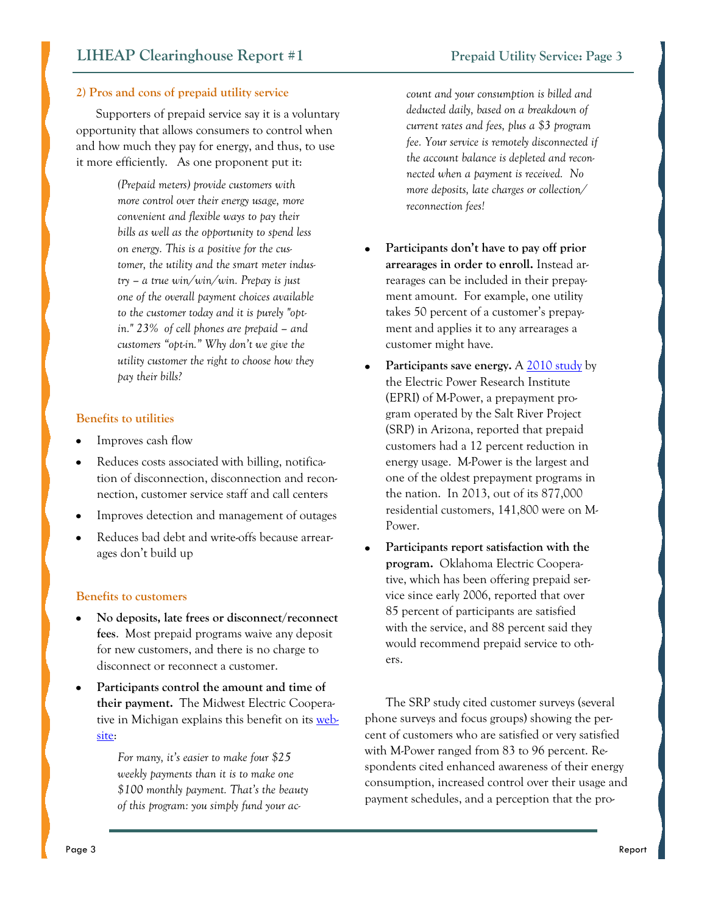#### <span id="page-2-0"></span>**2) Pros and cons of prepaid utility service**

Supporters of prepaid service say it is a voluntary opportunity that allows consumers to control when and how much they pay for energy, and thus, to use it more efficiently. As one proponent put it:

> *(Prepaid meters) provide customers with more control over their energy usage, more convenient and flexible ways to pay their bills as well as the opportunity to spend less on energy. This is a positive for the customer, the utility and the smart meter industry – a true win/win/win. Prepay is just one of the overall payment choices available to the customer today and it is purely "optin." 23% of cell phones are prepaid – and customers "opt-in." Why don't we give the utility customer the right to choose how they pay their bills?*

#### **Benefits to utilities**

- Improves cash flow
- Reduces costs associated with billing, notification of disconnection, disconnection and reconnection, customer service staff and call centers
- Improves detection and management of outages
- Reduces bad debt and write-offs because arrearages don't build up

#### **Benefits to customers**

- **No deposits, late frees or disconnect/reconnect fees**. Most prepaid programs waive any deposit for new customers, and there is no charge to disconnect or reconnect a customer.
- **Participants control the amount and time of their payment.** The Midwest Electric Cooperative in Michigan explains this benefit on its [web](http://www.teammidwest.com/your-home/billing-2/own-it-prepaid-metering-program/)[site:](http://www.teammidwest.com/your-home/billing-2/own-it-prepaid-metering-program/)

*For many, it's easier to make four \$25 weekly payments than it is to make one \$100 monthly payment. That's the beauty of this program: you simply fund your ac-* *count and your consumption is billed and deducted daily, based on a breakdown of current rates and fees, plus a \$3 program fee. Your service is remotely disconnected if the account balance is depleted and reconnected when a payment is received. No more deposits, late charges or collection/ reconnection fees!*

- **Participants don't have to pay off prior arrearages in order to enroll.** Instead arrearages can be included in their prepayment amount. For example, one utility takes 50 percent of a customer's prepayment and applies it to any arrearages a customer might have.
- Participants save energy. A [2010 study](http://www.srpnet.com/environment/earthwise/pdfx/spp/EPRI_MPower.pdf) by the Electric Power Research Institute (EPRI) of M-Power, a prepayment program operated by the Salt River Project (SRP) in Arizona, reported that prepaid customers had a 12 percent reduction in energy usage. M-Power is the largest and one of the oldest prepayment programs in the nation. In 2013, out of its 877,000 residential customers, 141,800 were on M-Power.
- **Participants report satisfaction with the program.** Oklahoma Electric Cooperative, which has been offering prepaid service since early 2006, reported that over 85 percent of participants are satisfied with the service, and 88 percent said they would recommend prepaid service to others.

The SRP study cited customer surveys (several phone surveys and focus groups) showing the percent of customers who are satisfied or very satisfied with M-Power ranged from 83 to 96 percent. Respondents cited enhanced awareness of their energy consumption, increased control over their usage and payment schedules, and a perception that the pro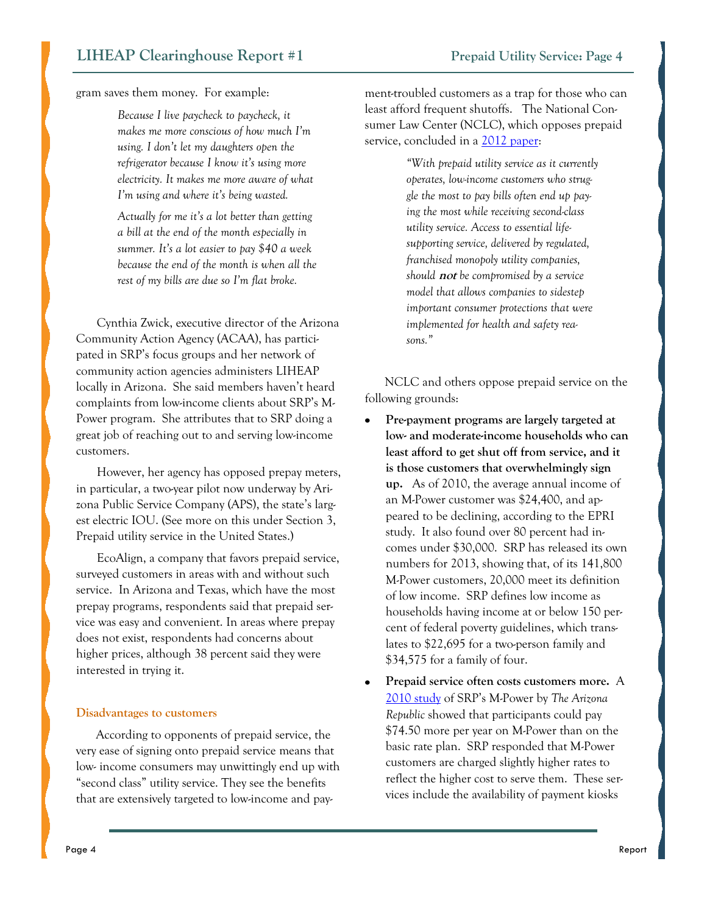<span id="page-3-0"></span>gram saves them money. For example:

*Because I live paycheck to paycheck, it makes me more conscious of how much I'm using. I don't let my daughters open the refrigerator because I know it's using more electricity. It makes me more aware of what I'm using and where it's being wasted.*

*Actually for me it's a lot better than getting a bill at the end of the month especially in summer. It's a lot easier to pay \$40 a week because the end of the month is when all the rest of my bills are due so I'm flat broke.* 

Cynthia Zwick, executive director of the Arizona Community Action Agency (ACAA), has participated in SRP's focus groups and her network of community action agencies administers LIHEAP locally in Arizona. She said members haven't heard complaints from low-income clients about SRP's M-Power program. She attributes that to SRP doing a great job of reaching out to and serving low-income customers.

However, her agency has opposed prepay meters, in particular, a two-year pilot now underway by Arizona Public Service Company (APS), the state's largest electric IOU. (See more on this under Section 3, Prepaid utility service in the United States.)

EcoAlign, a company that favors prepaid service, surveyed customers in areas with and without such service. In Arizona and Texas, which have the most prepay programs, respondents said that prepaid service was easy and convenient. In areas where prepay does not exist, respondents had concerns about higher prices, although 38 percent said they were interested in trying it.

#### **Disadvantages to customers**

According to opponents of prepaid service, the very ease of signing onto prepaid service means that low- income consumers may unwittingly end up with "second class" utility service. They see the benefits that are extensively targeted to low-income and payment-troubled customers as a trap for those who can least afford frequent shutoffs. The National Consumer Law Center (NCLC), which opposes prepaid service, concluded in a [2012 paper:](http://www.nclc.org/images/pdf/energy_utility_telecom/consumer_protection_and_regulatory_issues/report_prepaid_utility.pdf)

> *"With prepaid utility service as it currently operates, low-income customers who struggle the most to pay bills often end up paying the most while receiving second-class utility service. Access to essential lifesupporting service, delivered by regulated, franchised monopoly utility companies, should* **not** *be compromised by a service model that allows companies to sidestep important consumer protections that were implemented for health and safety reasons."*

NCLC and others oppose prepaid service on the following grounds:

- **Pre-payment programs are largely targeted at low- and moderate-income households who can least afford to get shut off from service, and it is those customers that overwhelmingly sign up.** As of 2010, the average annual income of an M-Power customer was \$24,400, and appeared to be declining, according to the EPRI study. It also found over 80 percent had incomes under \$30,000. SRP has released its own numbers for 2013, showing that, of its 141,800 M-Power customers, 20,000 meet its definition of low income. SRP defines low income as households having income at or below 150 percent of federal poverty guidelines, which translates to \$22,695 for a two-person family and \$34,575 for a family of four.
- **Prepaid service often costs customers more.** A  $\bullet$ [2010 study](http://www.azcentral.com/arizonarepublic/business/articles/2010/07/11/20100711biz-prepaid-power-srp-rates0711.html?nclick_check=1#ixzz2r8o0SeBj) of SRP's M-Power by *The Arizona Republic* showed that participants could pay \$74.50 more per year on M-Power than on the basic rate plan. SRP responded that M-Power customers are charged slightly higher rates to reflect the higher cost to serve them. These services include the availability of payment kiosks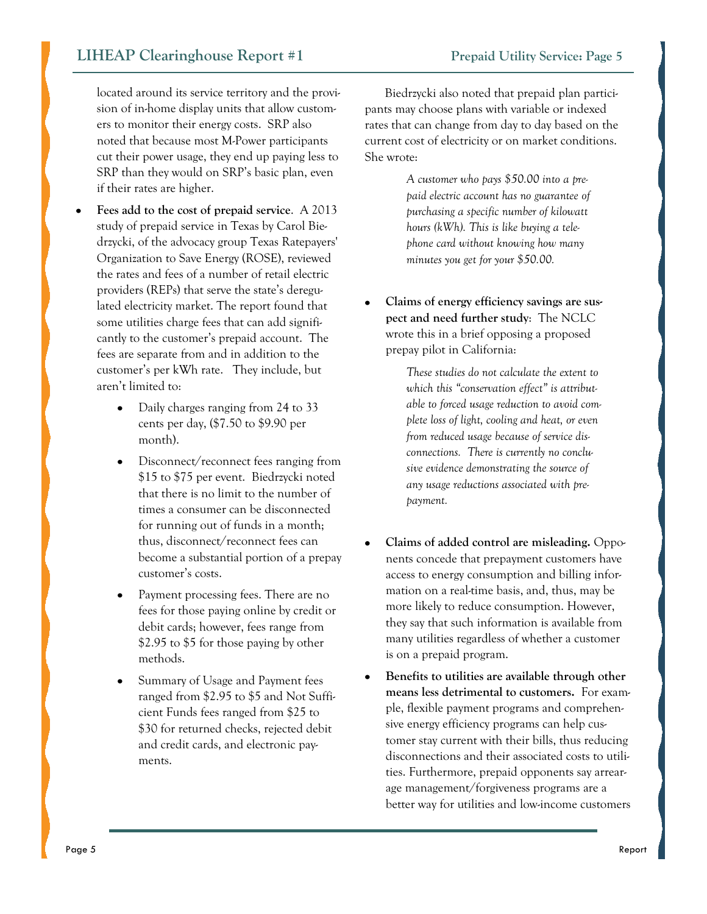located around its service territory and the provision of in-home display units that allow customers to monitor their energy costs. SRP also noted that because most M-Power participants cut their power usage, they end up paying less to SRP than they would on SRP's basic plan, even if their rates are higher.

- **Fees add to the cost of prepaid service**. A 2013 study of prepaid service in Texas by Carol Biedrzycki, of the advocacy group Texas Ratepayers' Organization to Save Energy (ROSE), reviewed the rates and fees of a number of retail electric providers (REPs) that serve the state's deregulated electricity market. The report found that some utilities charge fees that can add significantly to the customer's prepaid account. The fees are separate from and in addition to the customer's per kWh rate. They include, but aren't limited to:
	- Daily charges ranging from 24 to 33  $\bullet$ cents per day, (\$7.50 to \$9.90 per month).
	- Disconnect/reconnect fees ranging from \$15 to \$75 per event. Biedrzycki noted that there is no limit to the number of times a consumer can be disconnected for running out of funds in a month; thus, disconnect/reconnect fees can become a substantial portion of a prepay customer's costs.
	- Payment processing fees. There are no fees for those paying online by credit or debit cards; however, fees range from \$2.95 to \$5 for those paying by other methods.
	- Summary of Usage and Payment fees ranged from \$2.95 to \$5 and Not Sufficient Funds fees ranged from \$25 to \$30 for returned checks, rejected debit and credit cards, and electronic payments.

Biedrzycki also noted that prepaid plan partici-

pants may choose plans with variable or indexed rates that can change from day to day based on the current cost of electricity or on market conditions. She wrote:

> *A customer who pays \$50.00 into a prepaid electric account has no guarantee of purchasing a specific number of kilowatt hours (kWh). This is like buying a telephone card without knowing how many minutes you get for your \$50.00.*

**Claims of energy efficiency savings are suspect and need further study**: The NCLC wrote this in a brief opposing a proposed prepay pilot in California:

> *These studies do not calculate the extent to which this "conservation effect" is attributable to forced usage reduction to avoid complete loss of light, cooling and heat, or even from reduced usage because of service disconnections. There is currently no conclusive evidence demonstrating the source of any usage reductions associated with prepayment.*

- **Claims of added control are misleading.** Opponents concede that prepayment customers have access to energy consumption and billing information on a real-time basis, and, thus, may be more likely to reduce consumption. However, they say that such information is available from many utilities regardless of whether a customer is on a prepaid program.
- **Benefits to utilities are available through other means less detrimental to customers.** For example, flexible payment programs and comprehensive energy efficiency programs can help customer stay current with their bills, thus reducing disconnections and their associated costs to utilities. Furthermore, prepaid opponents say arrearage management/forgiveness programs are a better way for utilities and low-income customers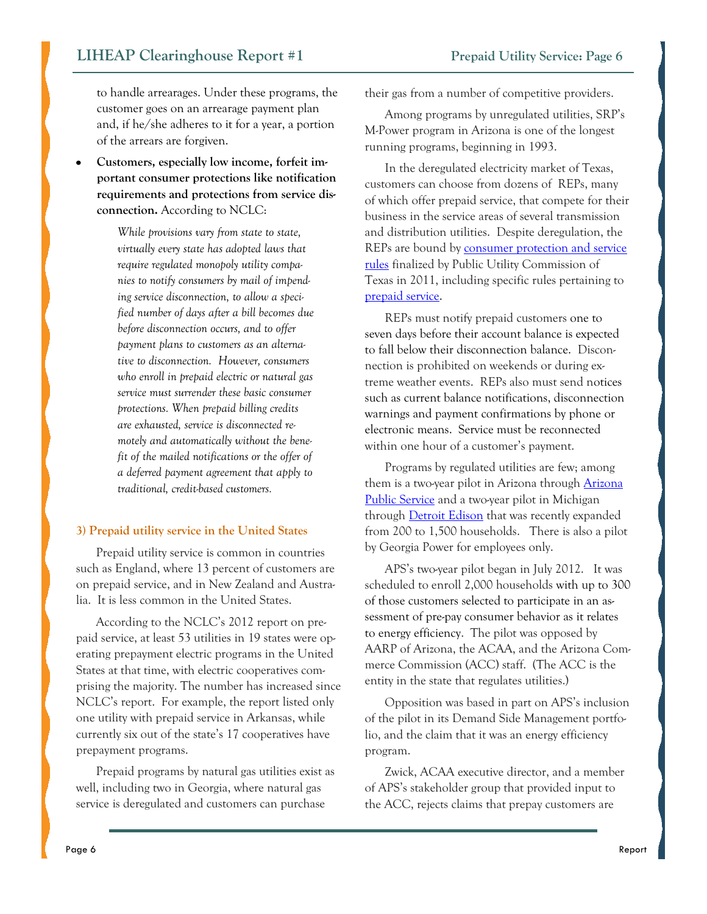<span id="page-5-0"></span>to handle arrearages. Under these programs, the customer goes on an arrearage payment plan and, if he/she adheres to it for a year, a portion of the arrears are forgiven.

**Customers, especially low income, forfeit important consumer protections like notification requirements and protections from service disconnection.** According to NCLC:

> *While provisions vary from state to state, virtually every state has adopted laws that require regulated monopoly utility companies to notify consumers by mail of impending service disconnection, to allow a specified number of days after a bill becomes due before disconnection occurs, and to offer payment plans to customers as an alternative to disconnection. However, consumers who enroll in prepaid electric or natural gas service must surrender these basic consumer protections. When prepaid billing credits are exhausted, service is disconnected remotely and automatically without the benefit of the mailed notifications or the offer of a deferred payment agreement that apply to traditional, credit-based customers.*

#### **3) Prepaid utility service in the United States**

Prepaid utility service is common in countries such as England, where 13 percent of customers are on prepaid service, and in New Zealand and Australia. It is less common in the United States.

According to the NCLC's 2012 report on prepaid service, at least 53 utilities in 19 states were operating prepayment electric programs in the United States at that time, with electric cooperatives comprising the majority. The number has increased since NCLC's report. For example, the report listed only one utility with prepaid service in Arkansas, while currently six out of the state's 17 cooperatives have prepayment programs.

Prepaid programs by natural gas utilities exist as well, including two in Georgia, where natural gas service is deregulated and customers can purchase

their gas from a number of competitive providers.

Among programs by unregulated utilities, SRP's M-Power program in Arizona is one of the longest running programs, beginning in 1993.

In the deregulated electricity market of Texas, customers can choose from dozens of REPs, many of which offer prepaid service, that compete for their business in the service areas of several transmission and distribution utilities. Despite deregulation, the REPs are bound by [consumer protection and service](http://www.puc.texas.gov/agency/rulesnlaws/subrules/electric/ch25complete.pdf)  [rules](http://www.puc.texas.gov/agency/rulesnlaws/subrules/electric/ch25complete.pdf) finalized by Public Utility Commission of Texas in 2011, including specific rules pertaining to [prepaid service.](http://puc.texas.gov/consumer/facts/faq/Prepaid.aspx)

REPs must notify prepaid customers one to seven days before their account balance is expected to fall below their disconnection balance. Disconnection is prohibited on weekends or during extreme weather events. REPs also must send notices such as current balance notifications, disconnection warnings and payment confirmations by phone or electronic means. Service must be reconnected within one hour of a customer's payment.

Programs by regulated utilities are few; among them is a two-year pilot in Arizona through [Arizona](http://www.azruco.gov/pc_aps_%2810-0075%29.htm)  [Public Service](http://www.azruco.gov/pc_aps_%2810-0075%29.htm) and a two-year pilot in Michigan through [Detroit Edison](http://www.dleg.state.mi.us/mpsc/orders/electric/2013/u-16457_9-10-2013.pdf) that was recently expanded from 200 to 1,500 households. There is also a pilot by Georgia Power for employees only.

APS's two-year pilot began in July 2012. It was scheduled to enroll 2,000 households with up to 300 of those customers selected to participate in an assessment of pre-pay consumer behavior as it relates to energy efficiency. The pilot was opposed by AARP of Arizona, the ACAA, and the Arizona Commerce Commission (ACC) staff. (The ACC is the entity in the state that regulates utilities.)

Opposition was based in part on APS's inclusion of the pilot in its Demand Side Management portfolio, and the claim that it was an energy efficiency program.

Zwick, ACAA executive director, and a member of APS's stakeholder group that provided input to the ACC, rejects claims that prepay customers are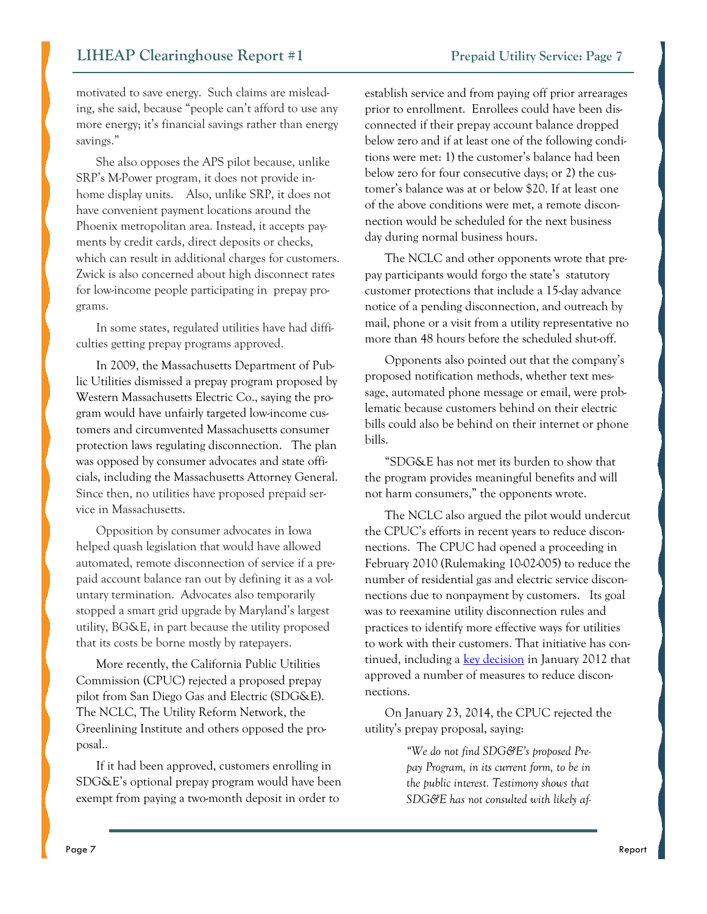motivated to save energy. Such claims are misleading, she said, because "people can't afford to use any more energy; it's financial savings rather than energy savings."

She also opposes the APS pilot because, unlike SRP's M-Power program, it does not provide inhome display units. Also, unlike SRP, it does not have convenient payment locations around the Phoenix metropolitan area. Instead, it accepts payments by credit cards, direct deposits or checks, which can result in additional charges for customers. Zwick is also concerned about high disconnect rates for low-income people participating in prepay programs.

In some states, regulated utilities have had difficulties getting prepay programs approved.

In 2009, the Massachusetts Department of Public Utilities dismissed a prepay program proposed by Western Massachusetts Electric Co., saying the program would have unfairly targeted low-income customers and circumvented Massachusetts consumer protection laws regulating disconnection. The plan was opposed by consumer advocates and state officials, including the Massachusetts Attorney General. Since then, no utilities have proposed prepaid service in Massachusetts.

Opposition by consumer advocates in Iowa helped quash legislation that would have allowed automated, remote disconnection of service if a prepaid account balance ran out by defining it as a voluntary termination. Advocates also temporarily stopped a smart grid upgrade by Maryland's largest utility, BG&E, in part because the utility proposed that its costs be borne mostly by ratepayers.

More recently, the California Public Utilities Commission (CPUC) rejected a proposed prepay pilot from San Diego Gas and Electric (SDG&E). The NCLC, The Utility Reform Network, the Greenlining Institute and others opposed the proposal..

If it had been approved, customers enrolling in SDG&E's optional prepay program would have been exempt from paying a two-month deposit in order to

establish service and from paying off prior arrearages prior to enrollment. Enrollees could have been disconnected if their prepay account balance dropped below zero and if at least one of the following conditions were met: 1) the customer's balance had been below zero for four consecutive days; or 2) the customer's balance was at or below \$20. If at least one of the above conditions were met, a remote disconnection would be scheduled for the next business day during normal business hours.

The NCLC and other opponents wrote that prepay participants would forgo the state's statutory customer protections that include a 15-day advance notice of a pending disconnection, and outreach by mail, phone or a visit from a utility representative no more than 48 hours before the scheduled shut-off.

Opponents also pointed out that the company's proposed notification methods, whether text message, automated phone message or email, were problematic because customers behind on their electric bills could also be behind on their internet or phone bills.

"SDG&E has not met its burden to show that the program provides meaningful benefits and will not harm consumers," the opponents wrote.

The NCLC also argued the pilot would undercut the CPUC's efforts in recent years to reduce disconnections. The CPUC had opened a proceeding in February 2010 (Rulemaking 10-02-005) to reduce the number of residential gas and electric service disconnections due to nonpayment by customers. Its goal was to reexamine utility disconnection rules and practices to identify more effective ways for utilities to work with their customers. That initiative has continued, including a [key decision](http://docs.cpuc.ca.gov/WORD_PDF/AGENDA_DECISION/162187.pdf) in January 2012 that approved a number of measures to reduce disconnections.

On January 23, 2014, the CPUC rejected the utility's prepay proposal, saying:

> *"We do not find SDG&E's proposed Prepay Program, in its current form, to be in the public interest. Testimony shows that SDG&E has not consulted with likely af-*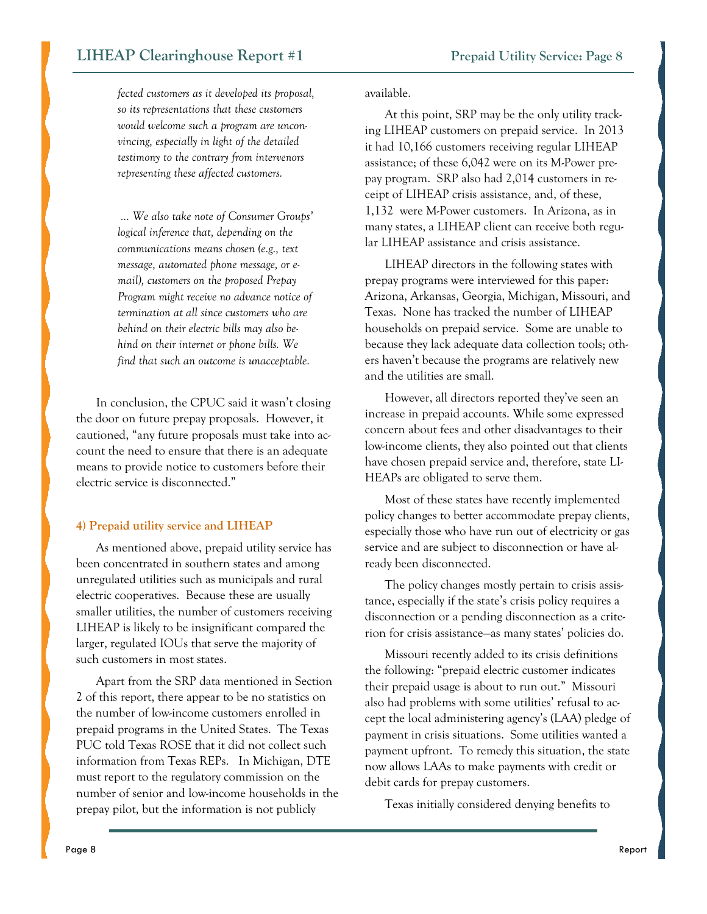<span id="page-7-0"></span>*fected customers as it developed its proposal, so its representations that these customers would welcome such a program are unconvincing, especially in light of the detailed testimony to the contrary from intervenors representing these affected customers.*

*… We also take note of Consumer Groups' logical inference that, depending on the communications means chosen (e.g., text message, automated phone message, or email), customers on the proposed Prepay Program might receive no advance notice of termination at all since customers who are behind on their electric bills may also behind on their internet or phone bills. We find that such an outcome is unacceptable.*

In conclusion, the CPUC said it wasn't closing the door on future prepay proposals. However, it cautioned, "any future proposals must take into account the need to ensure that there is an adequate means to provide notice to customers before their electric service is disconnected."

#### **4) Prepaid utility service and LIHEAP**

As mentioned above, prepaid utility service has been concentrated in southern states and among unregulated utilities such as municipals and rural electric cooperatives. Because these are usually smaller utilities, the number of customers receiving LIHEAP is likely to be insignificant compared the larger, regulated IOUs that serve the majority of such customers in most states.

Apart from the SRP data mentioned in Section 2 of this report, there appear to be no statistics on the number of low-income customers enrolled in prepaid programs in the United States. The Texas PUC told Texas ROSE that it did not collect such information from Texas REPs. In Michigan, DTE must report to the regulatory commission on the number of senior and low-income households in the prepay pilot, but the information is not publicly

available.

At this point, SRP may be the only utility tracking LIHEAP customers on prepaid service. In 2013 it had 10,166 customers receiving regular LIHEAP assistance; of these 6,042 were on its M-Power prepay program. SRP also had 2,014 customers in receipt of LIHEAP crisis assistance, and, of these, 1,132 were M-Power customers. In Arizona, as in many states, a LIHEAP client can receive both regular LIHEAP assistance and crisis assistance.

LIHEAP directors in the following states with prepay programs were interviewed for this paper: Arizona, Arkansas, Georgia, Michigan, Missouri, and Texas. None has tracked the number of LIHEAP households on prepaid service. Some are unable to because they lack adequate data collection tools; others haven't because the programs are relatively new and the utilities are small.

However, all directors reported they've seen an increase in prepaid accounts. While some expressed concern about fees and other disadvantages to their low-income clients, they also pointed out that clients have chosen prepaid service and, therefore, state LI-HEAPs are obligated to serve them.

Most of these states have recently implemented policy changes to better accommodate prepay clients, especially those who have run out of electricity or gas service and are subject to disconnection or have already been disconnected.

The policy changes mostly pertain to crisis assistance, especially if the state's crisis policy requires a disconnection or a pending disconnection as a criterion for crisis assistance—as many states' policies do.

Missouri recently added to its crisis definitions the following: "prepaid electric customer indicates their prepaid usage is about to run out." Missouri also had problems with some utilities' refusal to accept the local administering agency's (LAA) pledge of payment in crisis situations. Some utilities wanted a payment upfront. To remedy this situation, the state now allows LAAs to make payments with credit or debit cards for prepay customers.

Texas initially considered denying benefits to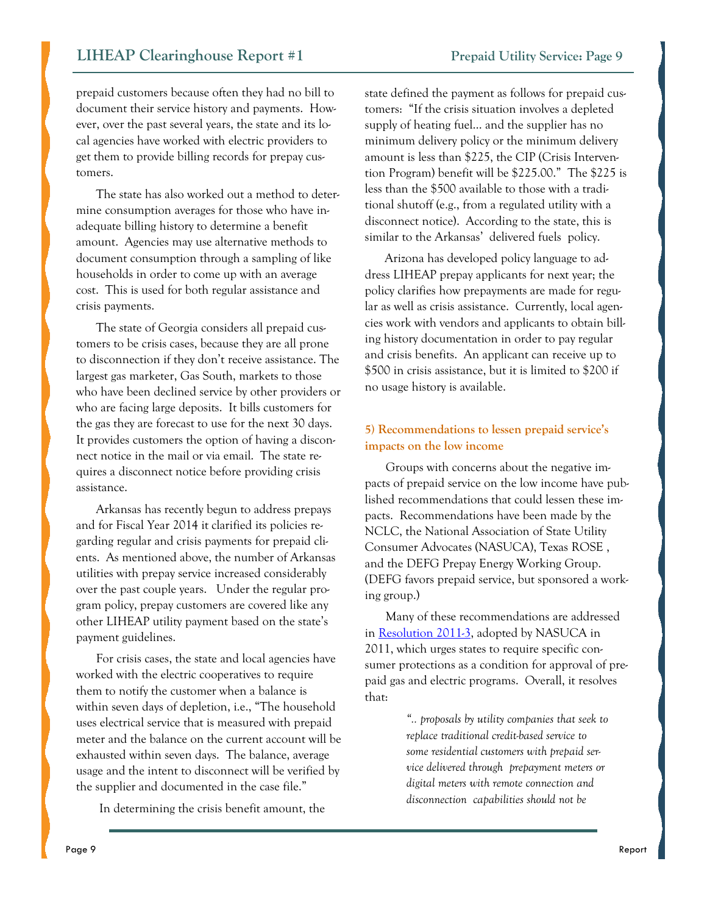<span id="page-8-0"></span>prepaid customers because often they had no bill to document their service history and payments. However, over the past several years, the state and its local agencies have worked with electric providers to get them to provide billing records for prepay customers.

The state has also worked out a method to determine consumption averages for those who have inadequate billing history to determine a benefit amount. Agencies may use alternative methods to document consumption through a sampling of like households in order to come up with an average cost. This is used for both regular assistance and crisis payments.

The state of Georgia considers all prepaid customers to be crisis cases, because they are all prone to disconnection if they don't receive assistance. The largest gas marketer, Gas South, markets to those who have been declined service by other providers or who are facing large deposits. It bills customers for the gas they are forecast to use for the next 30 days. It provides customers the option of having a disconnect notice in the mail or via email. The state requires a disconnect notice before providing crisis assistance.

Arkansas has recently begun to address prepays and for Fiscal Year 2014 it clarified its policies regarding regular and crisis payments for prepaid clients. As mentioned above, the number of Arkansas utilities with prepay service increased considerably over the past couple years. Under the regular program policy, prepay customers are covered like any other LIHEAP utility payment based on the state's payment guidelines.

For crisis cases, the state and local agencies have worked with the electric cooperatives to require them to notify the customer when a balance is within seven days of depletion, i.e., "The household uses electrical service that is measured with prepaid meter and the balance on the current account will be exhausted within seven days. The balance, average usage and the intent to disconnect will be verified by the supplier and documented in the case file."

In determining the crisis benefit amount, the

state defined the payment as follows for prepaid customers: "If the crisis situation involves a depleted supply of heating fuel… and the supplier has no minimum delivery policy or the minimum delivery amount is less than \$225, the CIP (Crisis Intervention Program) benefit will be \$225.00." The \$225 is less than the \$500 available to those with a traditional shutoff (e.g., from a regulated utility with a disconnect notice). According to the state, this is similar to the Arkansas' delivered fuels policy.

Arizona has developed policy language to address LIHEAP prepay applicants for next year; the policy clarifies how prepayments are made for regular as well as crisis assistance. Currently, local agencies work with vendors and applicants to obtain billing history documentation in order to pay regular and crisis benefits. An applicant can receive up to \$500 in crisis assistance, but it is limited to \$200 if no usage history is available.

#### **5) Recommendations to lessen prepaid service's impacts on the low income**

Groups with concerns about the negative impacts of prepaid service on the low income have published recommendations that could lessen these impacts. Recommendations have been made by the NCLC, the National Association of State Utility Consumer Advocates (NASUCA), Texas ROSE , and the DEFG Prepay Energy Working Group. (DEFG favors prepaid service, but sponsored a working group.)

Many of these recommendations are addressed in [Resolution 2011-3,](http://www.narucmeetings.org/Presentations/NASUCA%202010-3.pdf) adopted by NASUCA in 2011, which urges states to require specific consumer protections as a condition for approval of prepaid gas and electric programs. Overall, it resolves that:

> *".. proposals by utility companies that seek to replace traditional credit-based service to some residential customers with prepaid service delivered through prepayment meters or digital meters with remote connection and disconnection capabilities should not be*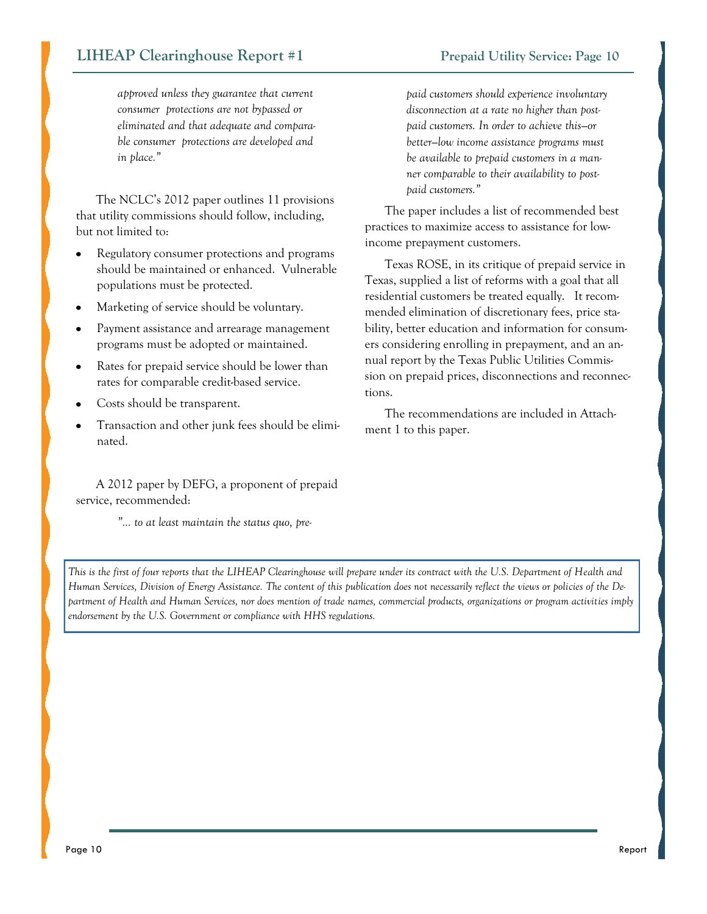#### **LIHEAP Clearinghouse Report #1** Prepaid Utility Service: Page 10

*approved unless they guarantee that current consumer protections are not bypassed or eliminated and that adequate and comparable consumer protections are developed and in place."*

The NCLC's 2012 paper outlines 11 provisions that utility commissions should follow, including, but not limited to:

- Regulatory consumer protections and programs should be maintained or enhanced. Vulnerable populations must be protected.
- Marketing of service should be voluntary.
- Payment assistance and arrearage management programs must be adopted or maintained.
- Rates for prepaid service should be lower than rates for comparable credit-based service.
- Costs should be transparent.
- Transaction and other junk fees should be eliminated.

A 2012 paper by DEFG, a proponent of prepaid service, recommended:

*"… to at least maintain the status quo, pre-*

*paid customers should experience involuntary disconnection at a rate no higher than postpaid customers. In order to achieve this—or better—low income assistance programs must be available to prepaid customers in a manner comparable to their availability to postpaid customers."* 

The paper includes a list of recommended best practices to maximize access to assistance for lowincome prepayment customers.

Texas ROSE, in its critique of prepaid service in Texas, supplied a list of reforms with a goal that all residential customers be treated equally. It recommended elimination of discretionary fees, price stability, better education and information for consumers considering enrolling in prepayment, and an annual report by the Texas Public Utilities Commission on prepaid prices, disconnections and reconnections.

The recommendations are included in Attachment 1 to this paper.

*This is the first of four reports that the LIHEAP Clearinghouse will prepare under its contract with the U.S. Department of Health and Human Services, Division of Energy Assistance. The content of this publication does not necessarily reflect the views or policies of the Department of Health and Human Services, nor does mention of trade names, commercial products, organizations or program activities imply endorsement by the U.S. Government or compliance with HHS regulations.*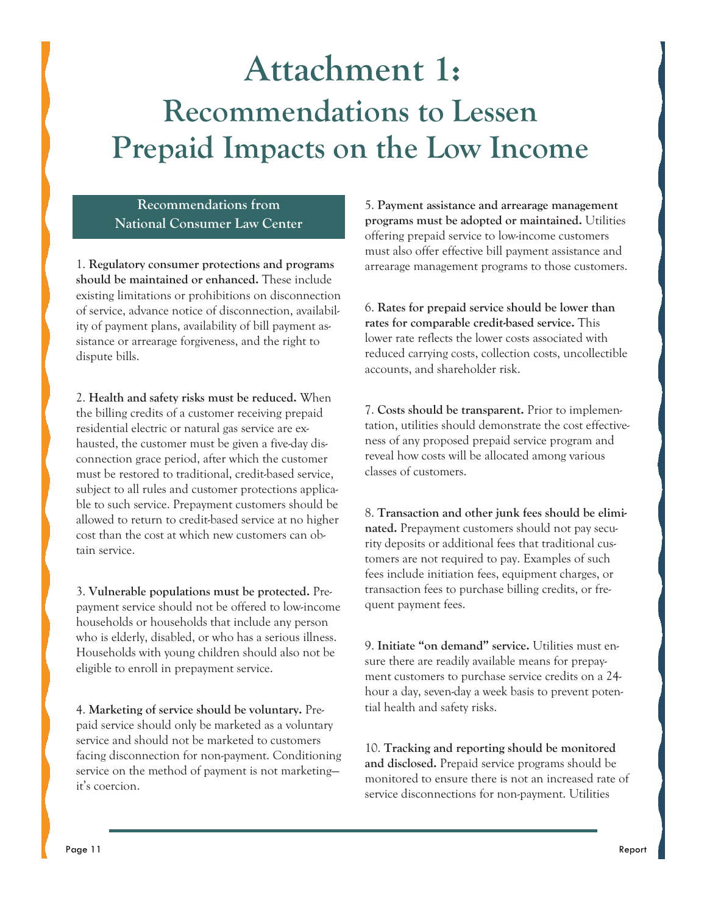## <span id="page-10-0"></span>**Attachment 1: Recommendations to Lessen Prepaid Impacts on the Low Income**

**Recommendations from National Consumer Law Center** 

1. **Regulatory consumer protections and programs should be maintained or enhanced.** These include existing limitations or prohibitions on disconnection of service, advance notice of disconnection, availability of payment plans, availability of bill payment assistance or arrearage forgiveness, and the right to dispute bills.

2. **Health and safety risks must be reduced.** When the billing credits of a customer receiving prepaid residential electric or natural gas service are exhausted, the customer must be given a five-day disconnection grace period, after which the customer must be restored to traditional, credit-based service, subject to all rules and customer protections applicable to such service. Prepayment customers should be allowed to return to credit-based service at no higher cost than the cost at which new customers can obtain service.

3. **Vulnerable populations must be protected.** Prepayment service should not be offered to low-income households or households that include any person who is elderly, disabled, or who has a serious illness. Households with young children should also not be eligible to enroll in prepayment service.

4. **Marketing of service should be voluntary.** Prepaid service should only be marketed as a voluntary service and should not be marketed to customers facing disconnection for non-payment. Conditioning service on the method of payment is not marketing it's coercion.

5. **Payment assistance and arrearage management programs must be adopted or maintained.** Utilities offering prepaid service to low-income customers must also offer effective bill payment assistance and arrearage management programs to those customers.

6. **Rates for prepaid service should be lower than rates for comparable credit-based service.** This lower rate reflects the lower costs associated with reduced carrying costs, collection costs, uncollectible accounts, and shareholder risk.

7. **Costs should be transparent.** Prior to implementation, utilities should demonstrate the cost effectiveness of any proposed prepaid service program and reveal how costs will be allocated among various classes of customers.

8. **Transaction and other junk fees should be eliminated.** Prepayment customers should not pay security deposits or additional fees that traditional customers are not required to pay. Examples of such fees include initiation fees, equipment charges, or transaction fees to purchase billing credits, or frequent payment fees.

9. **Initiate "on demand" service.** Utilities must ensure there are readily available means for prepayment customers to purchase service credits on a 24 hour a day, seven-day a week basis to prevent potential health and safety risks.

10. **Tracking and reporting should be monitored and disclosed.** Prepaid service programs should be monitored to ensure there is not an increased rate of service disconnections for non-payment. Utilities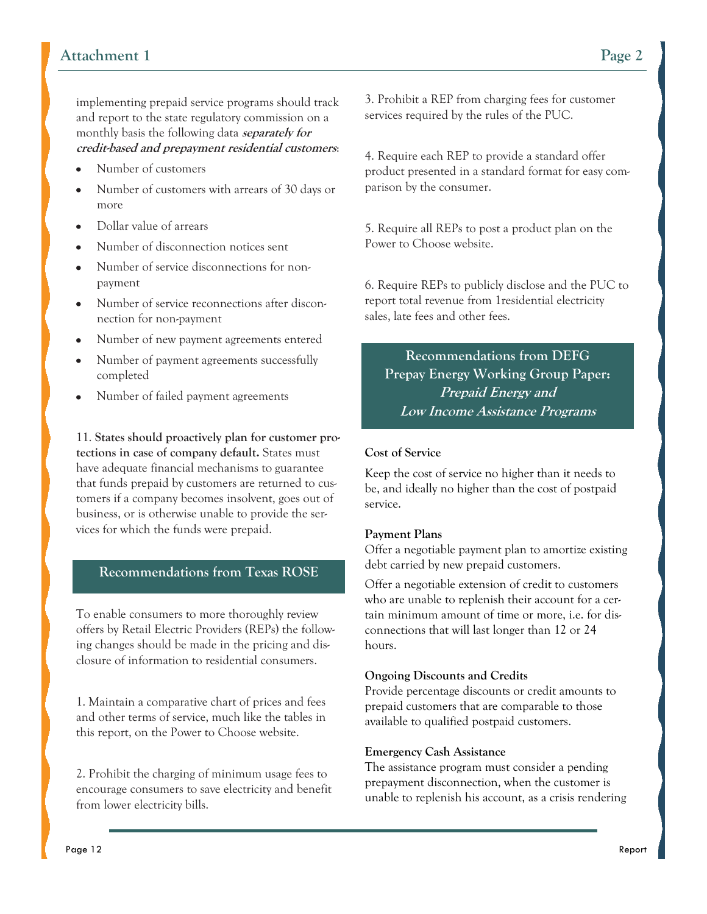implementing prepaid service programs should track and report to the state regulatory commission on a monthly basis the following data **separately for credit-based and prepayment residential customers**:

- Number of customers
- Number of customers with arrears of 30 days or more
- Dollar value of arrears
- Number of disconnection notices sent
- Number of service disconnections for nonpayment
- Number of service reconnections after disconnection for non-payment
- Number of new payment agreements entered
- Number of payment agreements successfully completed
- Number of failed payment agreements

11. **States should proactively plan for customer protections in case of company default.** States must have adequate financial mechanisms to guarantee that funds prepaid by customers are returned to customers if a company becomes insolvent, goes out of business, or is otherwise unable to provide the services for which the funds were prepaid.

#### **Recommendations from Texas ROSE**

To enable consumers to more thoroughly review offers by Retail Electric Providers (REPs) the following changes should be made in the pricing and disclosure of information to residential consumers.

1. Maintain a comparative chart of prices and fees and other terms of service, much like the tables in this report, on the Power to Choose website.

2. Prohibit the charging of minimum usage fees to encourage consumers to save electricity and benefit from lower electricity bills.

3. Prohibit a REP from charging fees for customer services required by the rules of the PUC.

4. Require each REP to provide a standard offer product presented in a standard format for easy comparison by the consumer.

5. Require all REPs to post a product plan on the Power to Choose website.

6. Require REPs to publicly disclose and the PUC to report total revenue from 1residential electricity sales, late fees and other fees.

**Recommendations from DEFG Prepay Energy Working Group Paper: Prepaid Energy and Low Income Assistance Programs** 

#### **Cost of Service**

Keep the cost of service no higher than it needs to be, and ideally no higher than the cost of postpaid service.

#### **Payment Plans**

Offer a negotiable payment plan to amortize existing debt carried by new prepaid customers.

Offer a negotiable extension of credit to customers who are unable to replenish their account for a certain minimum amount of time or more, i.e. for disconnections that will last longer than 12 or 24 hours.

#### **Ongoing Discounts and Credits**

Provide percentage discounts or credit amounts to prepaid customers that are comparable to those available to qualified postpaid customers.

#### **Emergency Cash Assistance**

The assistance program must consider a pending prepayment disconnection, when the customer is unable to replenish his account, as a crisis rendering